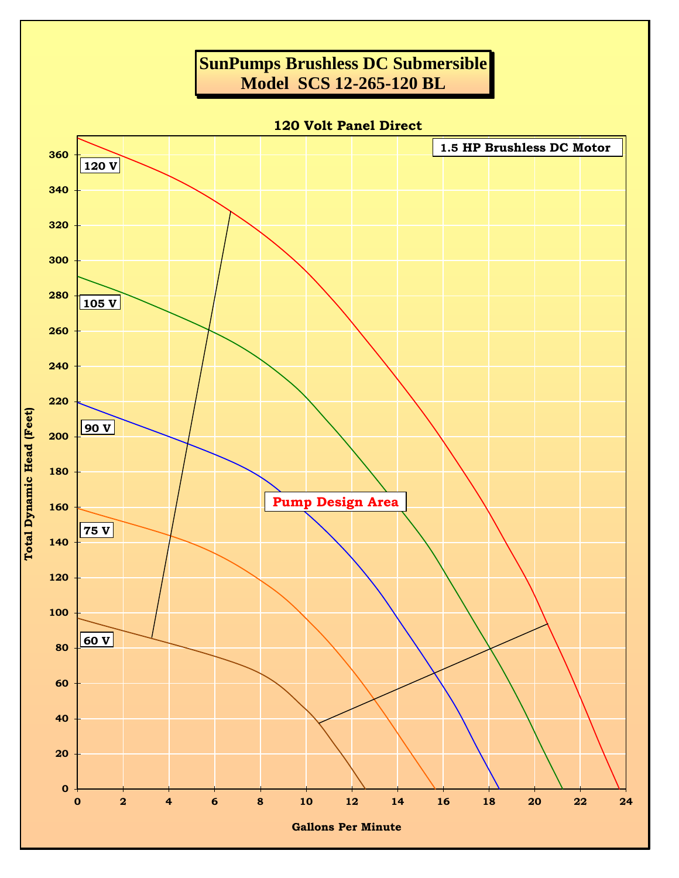